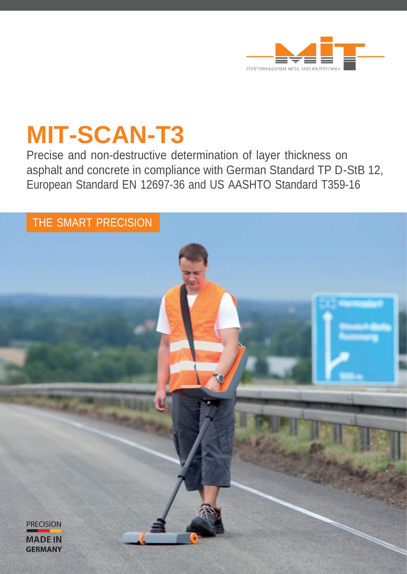

# **MIT-SCAN-T3**

Precise and non-destructive determination of layer thickness on asphalt and concrete in compliance with German Standard TP D-StB 12, European Standard EN 12697-36 and US AASHTO Standard T359-16

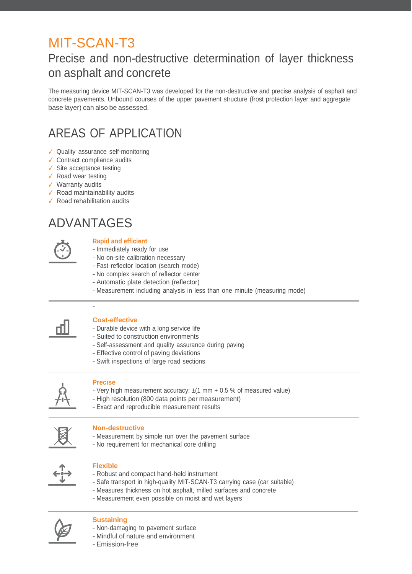## MIT-SCAN-T3

### Precise and non-destructive determination of layer thickness on asphalt and concrete

The measuring device MIT-SCAN-T3 was developed for the non-destructive and precise analysis of asphalt and concrete pavements. Unbound courses of the upper pavement structure (frost protection layer and aggregate base layer) can also be assessed.

### AREAS OF APPLICATION

- ✓ Quality assurance self-monitoring
- ✓ Contract compliance audits
- $\checkmark$  Site acceptance testing
- ✓ Road wear testing
- ✓ Warranty audits
- ✓ Road maintainability audits
- ✓ Road rehabilitation audits

### ADVANTAGES

-



#### **Rapid and efficient**

- Immediately ready for use
- No on-site calibration necessary
- Fast reflector location (search mode)
- No complex search of reflector center
- Automatic plate detection (reflector)
- Measurement including analysis in less than one minute (measuring mode)



#### **Cost-effective**

- Durable device with a long service life
- Suited to construction environments
- Self-assessment and quality assurance during paving
- Effective control of paving deviations
- Swift inspections of large road sections



#### **Precise**

- Very high measurement accuracy:  $\pm$ (1 mm + 0.5 % of measured value)
- High resolution (800 data points per measurement)
- Exact and reproducible measurement results



#### **Non-destructive**

- Measurement by simple run over the pavement surface
- No requirement for mechanical core drilling



#### **Flexible**

- Robust and compact hand-held instrument
- Safe transport in high-quality MIT-SCAN-T3 carrying case (car suitable)
- Measures thickness on hot asphalt, milled surfaces and concrete
- Measurement even possible on moist and wet layers



#### **Sustaining**

- Non-damaging to pavement surface
- Mindful of nature and environment
- Emission-free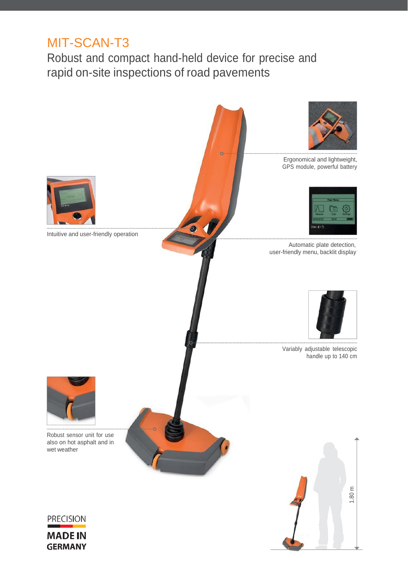### MIT-SCAN-T3

Robust and compact hand-held device for precise and rapid on-site inspections of road pavements

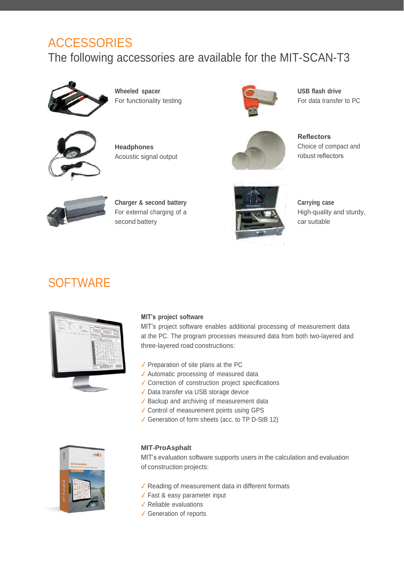### ACCESSORIES

The following accessories are available for the MIT-SCAN-T3



**Wheeled spacer** For functionality testing



**Headphones** Acoustic signal output



**USB flash drive** For data transfer to PC



**Reflectors** Choice of compact and robust reflectors



**Charger & second battery** For external charging of a second battery



**Carrying case** High-quality and sturdy, car suitable

### **SOFTWARE**



#### **MIT's project software**

MIT's project software enables additional processing of measurement data at the PC. The program processes measured data from both two-layered and three-layered road constructions:

- ✓ Preparation of site plans at the PC
- ✓ Automatic processing of measured data
- ✓ Correction of construction project specifications
- ✓ Data transfer via USB storage device
- ✓ Backup and archiving of measurement data
- ✓ Control of measurement points using GPS
- ✓ Generation of form sheets (acc. to TP D-StB 12)



#### **MIT-ProAsphalt**

MIT's evaluation software supports users in the calculation and evaluation of construction projects:

- ✓ Reading of measurement data in different formats
- ✓ Fast & easy parameter input
- ✓ Reliable evaluations
- ✓ Generation of reports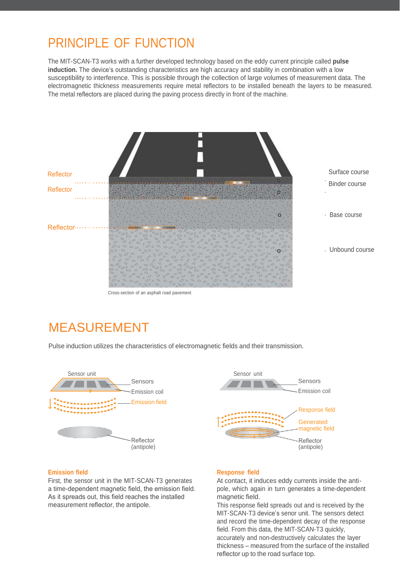### PRINCIPLE OF FUNCTION

The MIT-SCAN-T3 works with a further developed technology based on the eddy current principle called **pulse induction.** The device's outstanding characteristics are high accuracy and stability in combination with a low susceptibility to interference. This is possible through the collection of large volumes of measurement data. The electromagnetic thickness measurements require metal reflectors to be installed beneath the layers to be measured. The metal reflectors are placed during the paving process directly in front of the machine.



Cross-section of an asphalt road pavement

### MEASUREMENT

Pulse induction utilizes the characteristics of electromagnetic fields and their transmission.





#### **Emission field**

First, the sensor unit in the MIT-SCAN-T3 generates a time-dependent magnetic field, the emission field. As it spreads out, this field reaches the installed measurement reflector, the antipole.

#### **Response field**

At contact, it induces eddy currents inside the antipole, which again in turn generates a time-dependent magnetic field.

This response field spreads out and is received by the MIT-SCAN-T3 device's senor unit. The sensors detect and record the time-dependent decay of the response field. From this data, the MIT-SCAN-T3 quickly, accurately and non-destructively calculates the layer thickness – measured from the surface of the installed reflector up to the road surface top.